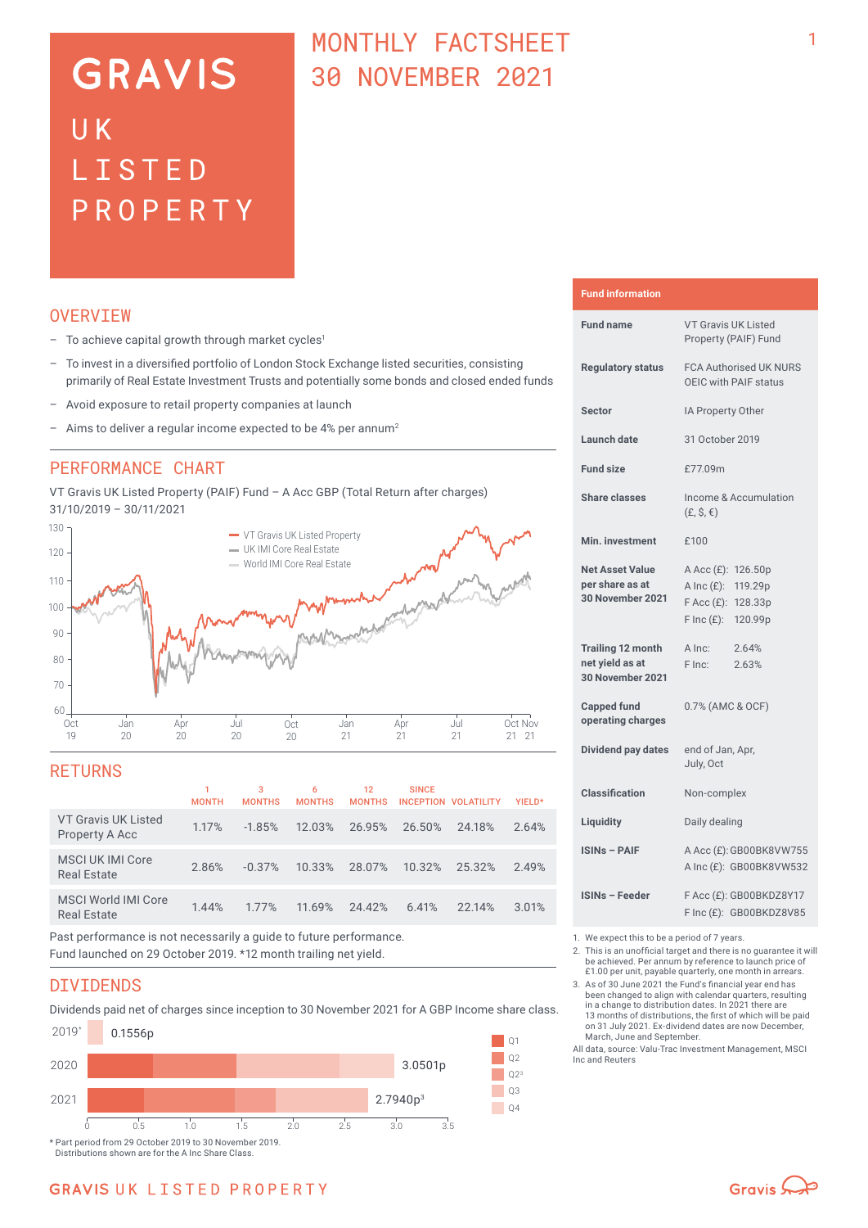# **GRAVIS** UK LISTED PROPERTY

## MONTHLY FACTSHEET 30 NOVEMBER 2021

## **OVERVTEW**

- $-$  To achieve capital growth through market cycles<sup>1</sup>
- To invest in a diversified portfolio of London Stock Exchange listed securities, consisting primarily of Real Estate Investment Trusts and potentially some bonds and closed ended funds
- Avoid exposure to retail property companies at launch
- Aims to deliver a regular income expected to be 4% per annum<sup>2</sup>

## PERFORMANCE CHART

VT Gravis UK Listed Property (PAIF) Fund – A Acc GBP (Total Return after charges) 31/10/2019 – 30/11/2021



### **RETURNS**

|                                                  | <b>MONTH</b> | 3<br><b>MONTHS</b> | 6<br><b>MONTHS</b> | 12<br><b>MONTHS</b> | <b>SINCE</b> | <b>INCEPTION VOLATILITY</b> | YIELD* |
|--------------------------------------------------|--------------|--------------------|--------------------|---------------------|--------------|-----------------------------|--------|
| VT Gravis UK Listed<br>Property A Acc            | 1.17%        | $-1.85%$           | 12.03%             | 26.95%              | 26.50%       | 24.18%                      | 2.64%  |
| MSCI UK IMI Core<br><b>Real Estate</b>           | 2.86%        | $-0.37%$           | 10.33%             | 28.07%              | 10.32%       | 25.32%                      | 2.49%  |
| <b>MSCI World IMI Core</b><br><b>Real Estate</b> | 1.44%        | 1.77%              | 11.69%             | 24.42%              | 6.41%        | 22.14%                      | 3.01%  |
|                                                  |              |                    |                    |                     |              |                             |        |

Past performance is not necessarily a guide to future performance. Fund launched on 29 October 2019. \*12 month trailing net yield.

### DIVIDENDS

Dividends paid net of charges since inception to 30 November 2021 for A GBP Income share class.



## **Fund information**

| <b>Fund name</b>                                                | <b>VT Gravis UK Listed</b><br>Property (PAIF) Fund                                                       |
|-----------------------------------------------------------------|----------------------------------------------------------------------------------------------------------|
| <b>Requlatory status</b>                                        | <b>FCA Authorised UK NURS</b><br>OEIC with PAIF status                                                   |
| <b>Sector</b>                                                   | IA Property Other                                                                                        |
| <b>Launch date</b>                                              | 31 October 2019                                                                                          |
| <b>Fund size</b>                                                | £77.09m                                                                                                  |
| <b>Share classes</b>                                            | Income & Accumulation<br>$(E, \hat{S}, \epsilon)$                                                        |
| Min. investment                                                 | £100                                                                                                     |
| <b>Net Asset Value</b><br>per share as at<br>30 November 2021   | A Acc (£): 126.50p<br>A Inc (£): 119.29p<br>$F$ Acc $(E)$ :<br>128.33p<br>$F \text{Inc}(f)$ :<br>120.99p |
| <b>Trailing 12 month</b><br>net yield as at<br>30 November 2021 | A Inc:<br>2.64%<br>F Inc:<br>2.63%                                                                       |
| <b>Capped fund</b><br>operating charges                         | 0.7% (AMC & OCF)                                                                                         |
| Dividend pay dates                                              | end of Jan, Apr,<br>July, Oct                                                                            |
| <b>Classification</b>                                           | Non-complex                                                                                              |
| Liquidity                                                       | Daily dealing                                                                                            |
| <b>ISINs - PAIF</b>                                             | A Acc (£): GB00BK8VW755<br>A Inc (£): GB00BK8VW532                                                       |
| <b>ISINs - Feeder</b>                                           | F Acc (£): GB00BKDZ8Y17<br>F Inc (£): GB00BKDZ8V85                                                       |

1. We expect this to be a period of 7 years.

2. This is an unofficial target and there is no guarantee it will be achieved. Per annum by reference to launch price of £1.00 per unit, payable quarterly, one month in arrears.

3. As of 30 June 2021 the Fund's financial year end has been changed to align with calendar quarters, resulting in a change to distribution dates. In 2021 there are 13 months of distributions, the first of which will be paid on 31 July 2021. Ex-dividend dates are now December,

March, June and September. All data, source: Valu-Trac Investment Management, MSCI Inc and Reuters

Gravis  $\mathbb{Q}$ 

## **GRAVIS UK LISTED PROPERTY**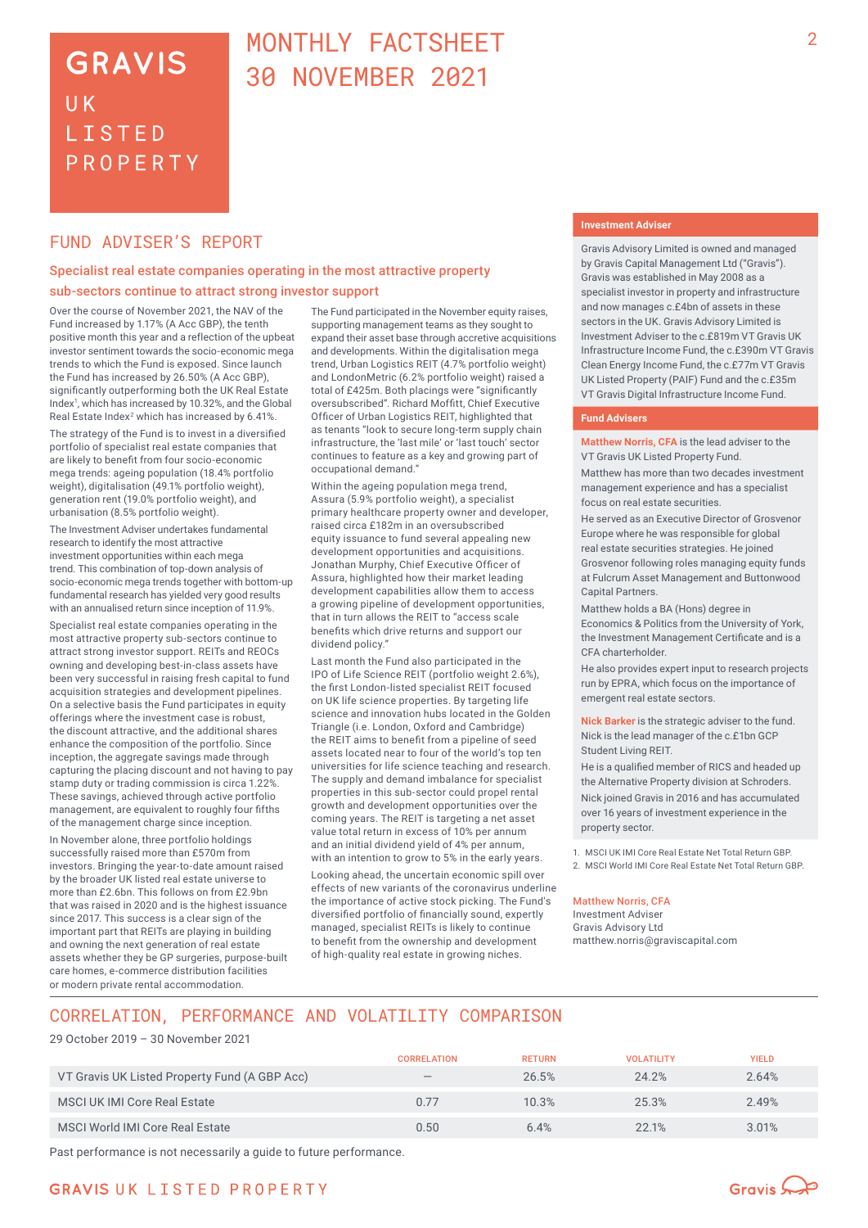## **GRAVIS** UK **LISTED** PROPERTY

## MONTHLY FACTSHEET 30 NOVEMBER 2021

## FUND ADVISER'S REPORT

### Specialist real estate companies operating in the most attractive property sub‑sectors continue to attract strong investor support

Over the course of November 2021, the NAV of the Fund increased by 1.17% (A Acc GBP), the tenth positive month this year and a reflection of the upbeat investor sentiment towards the socio-economic mega trends to which the Fund is exposed. Since launch the Fund has increased by 26.50% (A Acc GBP), significantly outperforming both the UK Real Estate Index<sup>1</sup>, which has increased by 10.32%, and the Global Real Estate Index<sup>2</sup> which has increased by 6.41%.

The strategy of the Fund is to invest in a diversified portfolio of specialist real estate companies that are likely to benefit from four socio-economic mega trends: ageing population (18.4% portfolio weight), digitalisation (49.1% portfolio weight), generation rent (19.0% portfolio weight), and urbanisation (8.5% portfolio weight).

The Investment Adviser undertakes fundamental research to identify the most attractive investment opportunities within each mega trend. This combination of top-down analysis of socio-economic mega trends together with bottom-up fundamental research has yielded very good results with an annualised return since inception of 11.9%.

Specialist real estate companies operating in the most attractive property sub-sectors continue to attract strong investor support. REITs and REOCs owning and developing best-in-class assets have been very successful in raising fresh capital to fund acquisition strategies and development pipelines. On a selective basis the Fund participates in equity offerings where the investment case is robust, the discount attractive, and the additional shares enhance the composition of the portfolio. Since inception, the aggregate savings made through capturing the placing discount and not having to pay stamp duty or trading commission is circa 1.22%. These savings, achieved through active portfolio management, are equivalent to roughly four fifths of the management charge since inception.

In November alone, three portfolio holdings successfully raised more than £570m from investors. Bringing the year-to-date amount raised by the broader UK listed real estate universe to more than £2.6bn. This follows on from £2.9bn that was raised in 2020 and is the highest issuance since 2017. This success is a clear sign of the important part that REITs are playing in building and owning the next generation of real estate assets whether they be GP surgeries, purpose-built care homes, e-commerce distribution facilities or modern private rental accommodation.

The Fund participated in the November equity raises, supporting management teams as they sought to expand their asset base through accretive acquisitions and developments. Within the digitalisation mega trend, Urban Logistics REIT (4.7% portfolio weight) and LondonMetric (6.2% portfolio weight) raised a total of £425m. Both placings were "significantly oversubscribed". Richard Moffitt, Chief Executive Officer of Urban Logistics REIT, highlighted that as tenants "look to secure long-term supply chain infrastructure, the 'last mile' or 'last touch' sector continues to feature as a key and growing part of occupational demand."

Within the ageing population mega trend, Assura (5.9% portfolio weight), a specialist primary healthcare property owner and developer, raised circa £182m in an oversubscribed equity issuance to fund several appealing new development opportunities and acquisitions. Jonathan Murphy, Chief Executive Officer of Assura, highlighted how their market leading development capabilities allow them to access a growing pipeline of development opportunities, that in turn allows the REIT to "access scale benefits which drive returns and support our dividend policy."

Last month the Fund also participated in the IPO of Life Science REIT (portfolio weight 2.6%), the first London-listed specialist REIT focused on UK life science properties. By targeting life science and innovation hubs located in the Golden Triangle (i.e. London, Oxford and Cambridge) the REIT aims to benefit from a pipeline of seed assets located near to four of the world's top ten universities for life science teaching and research. The supply and demand imbalance for specialist properties in this sub-sector could propel rental growth and development opportunities over the coming years. The REIT is targeting a net asset value total return in excess of 10% per annum and an initial dividend yield of 4% per annum, with an intention to grow to 5% in the early years.

Looking ahead, the uncertain economic spill over effects of new variants of the coronavirus underline the importance of active stock picking. The Fund's diversified portfolio of financially sound, expertly managed, specialist REITs is likely to continue to benefit from the ownership and development of high-quality real estate in growing niches.

#### **Investment Adviser**

Gravis Advisory Limited is owned and managed by Gravis Capital Management Ltd ("Gravis"). Gravis was established in May 2008 as a specialist investor in property and infrastructure and now manages c.£4bn of assets in these sectors in the UK. Gravis Advisory Limited is Investment Adviser to the c.£819m VT Gravis UK Infrastructure Income Fund, the c.£390m VT Gravis Clean Energy Income Fund, the c.£77m VT Gravis UK Listed Property (PAIF) Fund and the c.£35m VT Gravis Digital Infrastructure Income Fund.

### **Fund Advisers**

**Matthew Norris, CFA** is the lead adviser to the VT Gravis UK Listed Property Fund.

Matthew has more than two decades investment management experience and has a specialist focus on real estate securities.

He served as an Executive Director of Grosvenor Europe where he was responsible for global real estate securities strategies. He joined Grosvenor following roles managing equity funds at Fulcrum Asset Management and Buttonwood Capital Partners.

Matthew holds a BA (Hons) degree in Economics & Politics from the University of York, the Investment Management Certificate and is a CFA charterholder.

He also provides expert input to research projects run by EPRA, which focus on the importance of emergent real estate sectors.

**Nick Barker** is the strategic adviser to the fund. Nick is the lead manager of the c.£1bn GCP Student Living REIT.

He is a qualified member of RICS and headed up the Alternative Property division at Schroders. Nick joined Gravis in 2016 and has accumulated over 16 years of investment experience in the property sector.

1. MSCI UK IMI Core Real Estate Net Total Return GBP. 2. MSCI World IMI Core Real Estate Net Total Return GBP.

#### Matthew Norris, CFA

Investment Adviser Gravis Advisory Ltd matthew.norris@graviscapital.com

## CORRELATION, PERFORMANCE AND VOLATILITY COMPARISON

#### 29 October 2019 – 30 November 2021

|                                               | <b>CORRELATION</b>       | <b>RETURN</b> | <b>VOLATILITY</b> | <b>YIELD</b> |
|-----------------------------------------------|--------------------------|---------------|-------------------|--------------|
| VT Gravis UK Listed Property Fund (A GBP Acc) | $\overline{\phantom{a}}$ | 26.5%         | 24.2%             | 2.64%        |
| <b>MSCI UK IMI Core Real Estate</b>           | 0.77                     | 10.3%         | 25.3%             | 2.49%        |
| MSCI World IMI Core Real Estate               | 0.50                     | 6.4%          | 22.1%             | 3.01%        |

Past performance is not necessarily a guide to future performance.